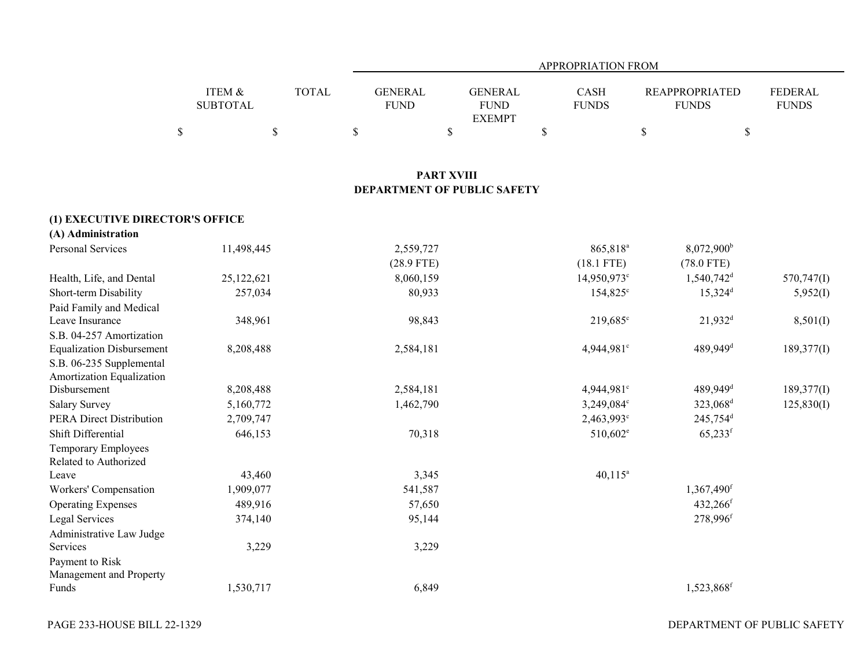|                                  |                           |              | <b>APPROPRIATION FROM</b>          |                   |                                                |             |                         |                                       |                                |  |  |  |
|----------------------------------|---------------------------|--------------|------------------------------------|-------------------|------------------------------------------------|-------------|-------------------------|---------------------------------------|--------------------------------|--|--|--|
|                                  | ITEM &<br><b>SUBTOTAL</b> | <b>TOTAL</b> | <b>GENERAL</b><br><b>FUND</b>      |                   | <b>GENERAL</b><br><b>FUND</b><br><b>EXEMPT</b> |             | CASH<br><b>FUNDS</b>    | <b>REAPPROPRIATED</b><br><b>FUNDS</b> | <b>FEDERAL</b><br><b>FUNDS</b> |  |  |  |
|                                  | $\mathbb{S}$              | $\mathbb S$  | $\mathbb{S}$                       | $\$$              |                                                | $\mathbb S$ |                         | $\mathbb{S}$                          | \$                             |  |  |  |
|                                  |                           |              |                                    | <b>PART XVIII</b> |                                                |             |                         |                                       |                                |  |  |  |
|                                  |                           |              | <b>DEPARTMENT OF PUBLIC SAFETY</b> |                   |                                                |             |                         |                                       |                                |  |  |  |
| (1) EXECUTIVE DIRECTOR'S OFFICE  |                           |              |                                    |                   |                                                |             |                         |                                       |                                |  |  |  |
| (A) Administration               |                           |              |                                    |                   |                                                |             |                         |                                       |                                |  |  |  |
| Personal Services                | 11,498,445                |              | 2,559,727                          |                   |                                                |             | 865,818 <sup>a</sup>    | 8,072,900 <sup>b</sup>                |                                |  |  |  |
|                                  |                           |              | $(28.9$ FTE)                       |                   |                                                |             | $(18.1$ FTE)            | $(78.0$ FTE)                          |                                |  |  |  |
| Health, Life, and Dental         | 25,122,621                |              | 8,060,159                          |                   |                                                |             | 14,950,973 <sup>c</sup> | $1,540,742$ <sup>d</sup>              | 570,747(I)                     |  |  |  |
| Short-term Disability            | 257,034                   |              | 80,933                             |                   |                                                |             | 154,825 <sup>c</sup>    | $15,324^{\rm d}$                      | 5,952(I)                       |  |  |  |
| Paid Family and Medical          |                           |              |                                    |                   |                                                |             |                         |                                       |                                |  |  |  |
| Leave Insurance                  | 348,961                   |              | 98,843                             |                   |                                                |             | 219,685 <sup>c</sup>    | $21,932^d$                            | 8,501(I)                       |  |  |  |
| S.B. 04-257 Amortization         |                           |              |                                    |                   |                                                |             |                         |                                       |                                |  |  |  |
| <b>Equalization Disbursement</b> | 8,208,488                 |              | 2,584,181                          |                   |                                                |             | 4,944,981°              | 489,949 <sup>d</sup>                  | 189,377(I)                     |  |  |  |
| S.B. 06-235 Supplemental         |                           |              |                                    |                   |                                                |             |                         |                                       |                                |  |  |  |
| Amortization Equalization        |                           |              |                                    |                   |                                                |             |                         |                                       |                                |  |  |  |
| Disbursement                     | 8,208,488                 |              | 2,584,181                          |                   |                                                |             | 4,944,981 <sup>c</sup>  | 489,949 <sup>d</sup>                  | 189,377(I)                     |  |  |  |
| <b>Salary Survey</b>             | 5,160,772                 |              | 1,462,790                          |                   |                                                |             | 3,249,084°              | 323,068 <sup>d</sup>                  | 125,830(I)                     |  |  |  |
| <b>PERA Direct Distribution</b>  | 2,709,747                 |              |                                    |                   |                                                |             | 2,463,993°              | 245,754 <sup>d</sup>                  |                                |  |  |  |
| Shift Differential               | 646,153                   |              | 70,318                             |                   |                                                |             | $510,602^e$             | $65,233$ <sup>f</sup>                 |                                |  |  |  |
| Temporary Employees              |                           |              |                                    |                   |                                                |             |                         |                                       |                                |  |  |  |
| Related to Authorized            |                           |              |                                    |                   |                                                |             |                         |                                       |                                |  |  |  |
| Leave                            | 43,460                    |              | 3,345                              |                   |                                                |             | $40,115^a$              |                                       |                                |  |  |  |
| Workers' Compensation            | 1,909,077                 |              | 541,587                            |                   |                                                |             |                         | $1,367,490$ <sup>f</sup>              |                                |  |  |  |
| <b>Operating Expenses</b>        | 489,916                   |              | 57,650                             |                   |                                                |             |                         | 432,266 <sup>f</sup>                  |                                |  |  |  |
| Legal Services                   | 374,140                   |              | 95,144                             |                   |                                                |             |                         | 278,996f                              |                                |  |  |  |
| Administrative Law Judge         |                           |              |                                    |                   |                                                |             |                         |                                       |                                |  |  |  |
| Services                         | 3,229                     |              | 3,229                              |                   |                                                |             |                         |                                       |                                |  |  |  |
| Payment to Risk                  |                           |              |                                    |                   |                                                |             |                         |                                       |                                |  |  |  |
| Management and Property<br>Funds | 1,530,717                 |              | 6,849                              |                   |                                                |             |                         | 1,523,868 <sup>f</sup>                |                                |  |  |  |
|                                  |                           |              |                                    |                   |                                                |             |                         |                                       |                                |  |  |  |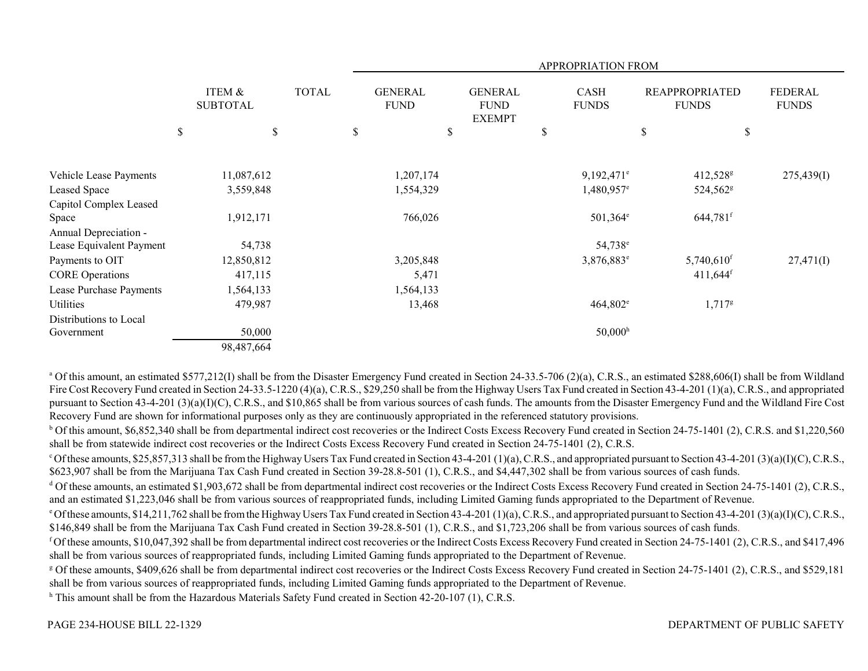|                          |                           |              |    | <b>APPROPRIATION FROM</b>     |    |                                                |    |                             |      |                                       |                                |  |  |
|--------------------------|---------------------------|--------------|----|-------------------------------|----|------------------------------------------------|----|-----------------------------|------|---------------------------------------|--------------------------------|--|--|
|                          | ITEM &<br><b>SUBTOTAL</b> | <b>TOTAL</b> |    | <b>GENERAL</b><br><b>FUND</b> |    | <b>GENERAL</b><br><b>FUND</b><br><b>EXEMPT</b> |    | <b>CASH</b><br><b>FUNDS</b> |      | <b>REAPPROPRIATED</b><br><b>FUNDS</b> | <b>FEDERAL</b><br><b>FUNDS</b> |  |  |
|                          | \$<br>\$                  |              | \$ |                               | \$ |                                                | \$ |                             | $\$$ | \$                                    |                                |  |  |
|                          |                           |              |    |                               |    |                                                |    |                             |      |                                       |                                |  |  |
| Vehicle Lease Payments   | 11,087,612                |              |    | 1,207,174                     |    |                                                |    | $9,192,471$ <sup>e</sup>    |      | 412,528 <sup>g</sup>                  | 275,439(I)                     |  |  |
| Leased Space             | 3,559,848                 |              |    | 1,554,329                     |    |                                                |    | $1,480,957$ <sup>e</sup>    |      | 524,562 <sup>g</sup>                  |                                |  |  |
| Capitol Complex Leased   |                           |              |    |                               |    |                                                |    |                             |      |                                       |                                |  |  |
| Space                    | 1,912,171                 |              |    | 766,026                       |    |                                                |    | $501,364^{\circ}$           |      | $644,781$ <sup>f</sup>                |                                |  |  |
| Annual Depreciation -    |                           |              |    |                               |    |                                                |    |                             |      |                                       |                                |  |  |
| Lease Equivalent Payment | 54,738                    |              |    |                               |    |                                                |    | 54,738 <sup>e</sup>         |      |                                       |                                |  |  |
| Payments to OIT          | 12,850,812                |              |    | 3,205,848                     |    |                                                |    | 3,876,883 <sup>e</sup>      |      | $5,740,610$ <sup>f</sup>              | 27,471(I)                      |  |  |
| <b>CORE</b> Operations   | 417,115                   |              |    | 5,471                         |    |                                                |    |                             |      | $411,644$ <sup>f</sup>                |                                |  |  |
| Lease Purchase Payments  | 1,564,133                 |              |    | 1,564,133                     |    |                                                |    |                             |      |                                       |                                |  |  |
| Utilities                | 479,987                   |              |    | 13,468                        |    |                                                |    | $464,802^e$                 |      | $1,717$ <sup>g</sup>                  |                                |  |  |
| Distributions to Local   |                           |              |    |                               |    |                                                |    |                             |      |                                       |                                |  |  |
| Government               | 50,000                    |              |    |                               |    |                                                |    | 50,000 <sup>h</sup>         |      |                                       |                                |  |  |
|                          | 98,487,664                |              |    |                               |    |                                                |    |                             |      |                                       |                                |  |  |

<sup>a</sup> Of this amount, an estimated \$577,212(I) shall be from the Disaster Emergency Fund created in Section 24-33.5-706 (2)(a), C.R.S., an estimated \$288,606(I) shall be from Wildland Fire Cost Recovery Fund created in Section 24-33.5-1220 (4)(a), C.R.S., \$29,250 shall be from the Highway Users Tax Fund created in Section 43-4-201 (1)(a), C.R.S., and appropriated pursuant to Section 43-4-201 (3)(a)(I)(C), C.R.S., and \$10,865 shall be from various sources of cash funds. The amounts from the Disaster Emergency Fund and the Wildland Fire Cost Recovery Fund are shown for informational purposes only as they are continuously appropriated in the referenced statutory provisions.

<sup>b</sup> Of this amount, \$6,852,340 shall be from departmental indirect cost recoveries or the Indirect Costs Excess Recovery Fund created in Section 24-75-1401 (2), C.R.S. and \$1,220,560 shall be from statewide indirect cost recoveries or the Indirect Costs Excess Recovery Fund created in Section 24-75-1401 (2), C.R.S.

 $c$  Of these amounts, \$25,857,313 shall be from the Highway Users Tax Fund created in Section 43-4-201 (1)(a), C.R.S., and appropriated pursuant to Section 43-4-201 (3)(a)(I)(C), C.R.S., \$623,907 shall be from the Marijuana Tax Cash Fund created in Section 39-28.8-501 (1), C.R.S., and \$4,447,302 shall be from various sources of cash funds.

 $^{\text{d}}$  Of these amounts, an estimated \$1,903,672 shall be from departmental indirect cost recoveries or the Indirect Costs Excess Recovery Fund created in Section 24-75-1401 (2), C.R.S., and an estimated \$1,223,046 shall be from various sources of reappropriated funds, including Limited Gaming funds appropriated to the Department of Revenue.

 $^{\circ}$  Of these amounts, \$14,211,762 shall be from the Highway Users Tax Fund created in Section 43-4-201 (1)(a), C.R.S., and appropriated pursuant to Section 43-4-201 (3)(a)(I)(C), C.R.S., \$146,849 shall be from the Marijuana Tax Cash Fund created in Section 39-28.8-501 (1), C.R.S., and \$1,723,206 shall be from various sources of cash funds.

<sup>f</sup> Of these amounts, \$10,047,392 shall be from departmental indirect cost recoveries or the Indirect Costs Excess Recovery Fund created in Section 24-75-1401 (2), C.R.S., and \$417,496 shall be from various sources of reappropriated funds, including Limited Gaming funds appropriated to the Department of Revenue.

g Of these amounts, \$409,626 shall be from departmental indirect cost recoveries or the Indirect Costs Excess Recovery Fund created in Section 24-75-1401 (2), C.R.S., and \$529,181 shall be from various sources of reappropriated funds, including Limited Gaming funds appropriated to the Department of Revenue.

h This amount shall be from the Hazardous Materials Safety Fund created in Section 42-20-107 (1), C.R.S.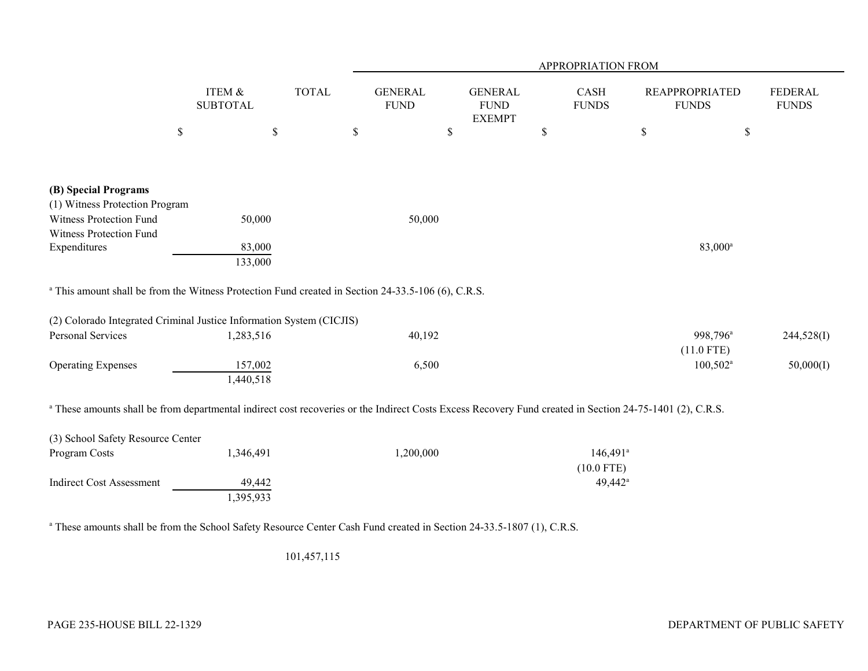|                                                                                                                                                                     |                                      |              | APPROPRIATION FROM            |                                                |                                        |                                       |                                |  |  |  |  |  |
|---------------------------------------------------------------------------------------------------------------------------------------------------------------------|--------------------------------------|--------------|-------------------------------|------------------------------------------------|----------------------------------------|---------------------------------------|--------------------------------|--|--|--|--|--|
|                                                                                                                                                                     | <b>ITEM &amp;</b><br><b>SUBTOTAL</b> | <b>TOTAL</b> | <b>GENERAL</b><br><b>FUND</b> | <b>GENERAL</b><br><b>FUND</b><br><b>EXEMPT</b> | CASH<br><b>FUNDS</b>                   | <b>REAPPROPRIATED</b><br><b>FUNDS</b> | <b>FEDERAL</b><br><b>FUNDS</b> |  |  |  |  |  |
|                                                                                                                                                                     | $\mathbb{S}$<br>$\$$                 |              | $\$$                          | \$                                             | \$                                     | $\mathbb{S}$<br>\$                    |                                |  |  |  |  |  |
| (B) Special Programs<br>(1) Witness Protection Program                                                                                                              |                                      |              |                               |                                                |                                        |                                       |                                |  |  |  |  |  |
| Witness Protection Fund                                                                                                                                             | 50,000                               |              | 50,000                        |                                                |                                        |                                       |                                |  |  |  |  |  |
| Witness Protection Fund<br>Expenditures                                                                                                                             | 83,000<br>133,000                    |              |                               |                                                |                                        | 83,000 <sup>a</sup>                   |                                |  |  |  |  |  |
| <sup>a</sup> This amount shall be from the Witness Protection Fund created in Section 24-33.5-106 (6), C.R.S.                                                       |                                      |              |                               |                                                |                                        |                                       |                                |  |  |  |  |  |
| (2) Colorado Integrated Criminal Justice Information System (CICJIS)                                                                                                |                                      |              |                               |                                                |                                        |                                       |                                |  |  |  |  |  |
| Personal Services                                                                                                                                                   | 1,283,516                            |              | 40,192                        |                                                |                                        | 998,796 <sup>a</sup><br>$(11.0$ FTE)  | 244,528(I)                     |  |  |  |  |  |
| <b>Operating Expenses</b>                                                                                                                                           | 157,002<br>1,440,518                 |              | 6,500                         |                                                |                                        | $100,502^{\text{a}}$                  | 50,000(I)                      |  |  |  |  |  |
| <sup>a</sup> These amounts shall be from departmental indirect cost recoveries or the Indirect Costs Excess Recovery Fund created in Section 24-75-1401 (2), C.R.S. |                                      |              |                               |                                                |                                        |                                       |                                |  |  |  |  |  |
| (3) School Safety Resource Center                                                                                                                                   |                                      |              |                               |                                                |                                        |                                       |                                |  |  |  |  |  |
| Program Costs                                                                                                                                                       | 1,346,491                            |              | 1,200,000                     |                                                | $146,491$ <sup>a</sup><br>$(10.0$ FTE) |                                       |                                |  |  |  |  |  |
| <b>Indirect Cost Assessment</b>                                                                                                                                     | 49,442<br>1,395,933                  |              |                               |                                                | $49,442^{\circ}$                       |                                       |                                |  |  |  |  |  |
|                                                                                                                                                                     |                                      |              |                               |                                                |                                        |                                       |                                |  |  |  |  |  |

<sup>a</sup> These amounts shall be from the School Safety Resource Center Cash Fund created in Section 24-33.5-1807 (1), C.R.S.

101,457,115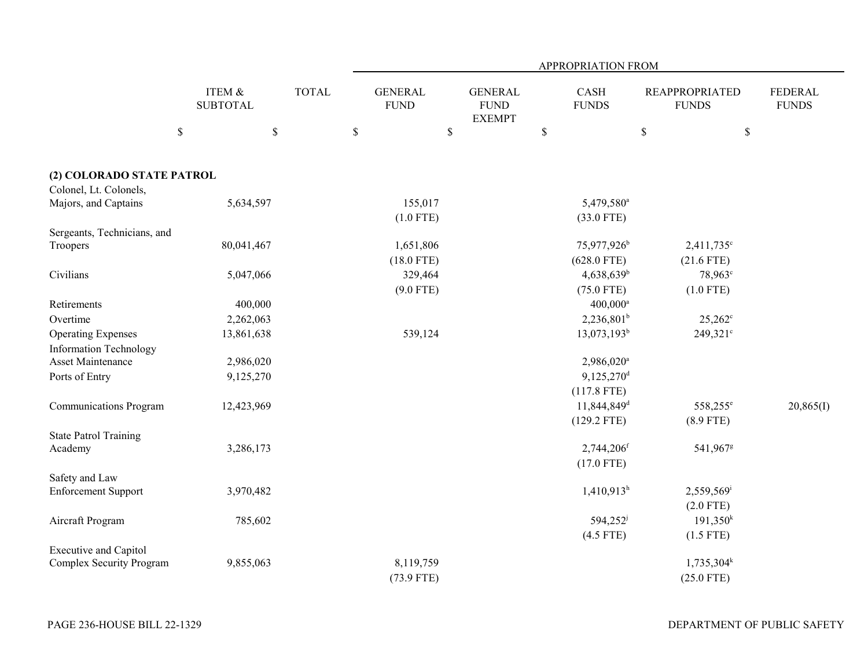|                               |                           |              | APPROPRIATION FROM            |                                                |                          |                                       |                                |  |  |  |  |  |
|-------------------------------|---------------------------|--------------|-------------------------------|------------------------------------------------|--------------------------|---------------------------------------|--------------------------------|--|--|--|--|--|
|                               | ITEM &<br><b>SUBTOTAL</b> | <b>TOTAL</b> | <b>GENERAL</b><br><b>FUND</b> | <b>GENERAL</b><br><b>FUND</b><br><b>EXEMPT</b> | CASH<br><b>FUNDS</b>     | <b>REAPPROPRIATED</b><br><b>FUNDS</b> | <b>FEDERAL</b><br><b>FUNDS</b> |  |  |  |  |  |
|                               | $\$$<br>$\mathbb S$       |              | $\mathbb S$<br>\$             |                                                | $\mathbb S$              | $\$$                                  | \$                             |  |  |  |  |  |
| (2) COLORADO STATE PATROL     |                           |              |                               |                                                |                          |                                       |                                |  |  |  |  |  |
| Colonel, Lt. Colonels,        |                           |              |                               |                                                |                          |                                       |                                |  |  |  |  |  |
| Majors, and Captains          | 5,634,597                 |              | 155,017                       |                                                | 5,479,580 <sup>a</sup>   |                                       |                                |  |  |  |  |  |
|                               |                           |              | $(1.0$ FTE)                   |                                                | $(33.0$ FTE)             |                                       |                                |  |  |  |  |  |
| Sergeants, Technicians, and   |                           |              |                               |                                                |                          |                                       |                                |  |  |  |  |  |
| Troopers                      | 80,041,467                |              | 1,651,806                     |                                                | 75,977,926 <sup>b</sup>  | $2,411,735$ °                         |                                |  |  |  |  |  |
|                               |                           |              | $(18.0$ FTE)                  |                                                | $(628.0$ FTE)            | $(21.6$ FTE)                          |                                |  |  |  |  |  |
| Civilians                     | 5,047,066                 |              | 329,464                       |                                                | $4,638,639^b$            | 78,963 <sup>c</sup>                   |                                |  |  |  |  |  |
|                               |                           |              | $(9.0$ FTE)                   |                                                | $(75.0$ FTE)             | $(1.0$ FTE)                           |                                |  |  |  |  |  |
| Retirements                   | 400,000                   |              |                               |                                                | 400,000 <sup>a</sup>     |                                       |                                |  |  |  |  |  |
| Overtime                      | 2,262,063                 |              |                               |                                                | $2,236,801^b$            | $25,262^{\circ}$                      |                                |  |  |  |  |  |
| <b>Operating Expenses</b>     | 13,861,638                |              | 539,124                       |                                                | $13,073,193^b$           | $249,321^{\circ}$                     |                                |  |  |  |  |  |
| <b>Information Technology</b> |                           |              |                               |                                                |                          |                                       |                                |  |  |  |  |  |
| Asset Maintenance             | 2,986,020                 |              |                               |                                                | 2,986,020 <sup>a</sup>   |                                       |                                |  |  |  |  |  |
| Ports of Entry                | 9,125,270                 |              |                               |                                                | $9,125,270$ <sup>d</sup> |                                       |                                |  |  |  |  |  |
|                               |                           |              |                               |                                                | $(117.8$ FTE)            |                                       |                                |  |  |  |  |  |
| <b>Communications Program</b> | 12,423,969                |              |                               |                                                | 11,844,849 <sup>d</sup>  | 558,255 <sup>e</sup>                  | 20,865(I)                      |  |  |  |  |  |
|                               |                           |              |                               |                                                | $(129.2$ FTE)            | $(8.9$ FTE)                           |                                |  |  |  |  |  |
| <b>State Patrol Training</b>  |                           |              |                               |                                                |                          |                                       |                                |  |  |  |  |  |
| Academy                       | 3,286,173                 |              |                               |                                                | $2,744,206$ <sup>f</sup> | 541,967 <sup>g</sup>                  |                                |  |  |  |  |  |
|                               |                           |              |                               |                                                | $(17.0$ FTE)             |                                       |                                |  |  |  |  |  |
| Safety and Law                |                           |              |                               |                                                |                          |                                       |                                |  |  |  |  |  |
| <b>Enforcement Support</b>    | 3,970,482                 |              |                               |                                                | $1,410,913$ <sup>h</sup> | 2,559,569                             |                                |  |  |  |  |  |
|                               |                           |              |                               |                                                |                          | $(2.0$ FTE)                           |                                |  |  |  |  |  |
| Aircraft Program              | 785,602                   |              |                               |                                                | 594,252 <sup>j</sup>     | 191,350 <sup>k</sup>                  |                                |  |  |  |  |  |
|                               |                           |              |                               |                                                | $(4.5$ FTE)              | $(1.5$ FTE)                           |                                |  |  |  |  |  |
| <b>Executive and Capitol</b>  |                           |              |                               |                                                |                          |                                       |                                |  |  |  |  |  |
| Complex Security Program      | 9,855,063                 |              | 8,119,759                     |                                                |                          | $1,735,304^k$                         |                                |  |  |  |  |  |
|                               |                           |              | $(73.9$ FTE)                  |                                                |                          | $(25.0$ FTE)                          |                                |  |  |  |  |  |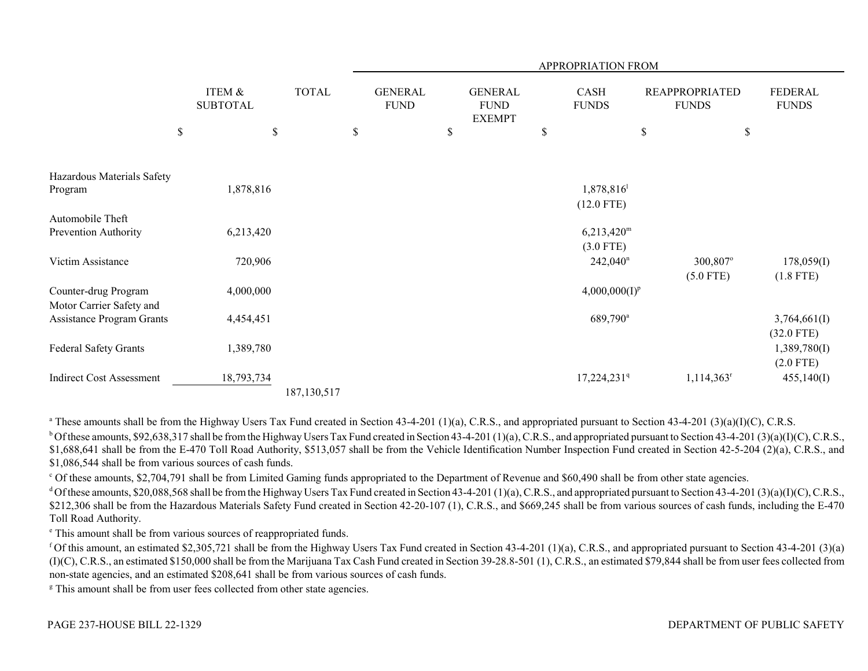|                                                  |                           |    |               | APPROPRIATION FROM |                               |    |                                                |    |                                    |             |                                       |      |                                             |
|--------------------------------------------------|---------------------------|----|---------------|--------------------|-------------------------------|----|------------------------------------------------|----|------------------------------------|-------------|---------------------------------------|------|---------------------------------------------|
|                                                  | ITEM &<br><b>SUBTOTAL</b> |    | <b>TOTAL</b>  |                    | <b>GENERAL</b><br><b>FUND</b> |    | <b>GENERAL</b><br><b>FUND</b><br><b>EXEMPT</b> |    | <b>CASH</b><br><b>FUNDS</b>        |             | <b>REAPPROPRIATED</b><br><b>FUNDS</b> |      | FEDERAL<br><b>FUNDS</b>                     |
|                                                  | \$                        | \$ |               | \$                 |                               | \$ |                                                | \$ |                                    | $\mathbb S$ |                                       | $\$$ |                                             |
| Hazardous Materials Safety<br>Program            | 1,878,816                 |    |               |                    |                               |    |                                                |    | 1,878,816<br>$(12.0$ FTE)          |             |                                       |      |                                             |
| Automobile Theft<br>Prevention Authority         | 6,213,420                 |    |               |                    |                               |    |                                                |    | $6,213,420^{\rm m}$<br>$(3.0$ FTE) |             |                                       |      |                                             |
| Victim Assistance                                | 720,906                   |    |               |                    |                               |    |                                                |    | $242,040$ <sup>n</sup>             |             | 300,807°                              |      | 178,059(I)                                  |
| Counter-drug Program<br>Motor Carrier Safety and | 4,000,000                 |    |               |                    |                               |    |                                                |    | $4,000,000(I)^p$                   |             | $(5.0$ FTE)                           |      | $(1.8$ FTE)                                 |
| <b>Assistance Program Grants</b>                 | 4,454,451                 |    |               |                    |                               |    |                                                |    | 689,790 <sup>a</sup>               |             |                                       |      | 3,764,661(I)                                |
| Federal Safety Grants                            | 1,389,780                 |    |               |                    |                               |    |                                                |    |                                    |             |                                       |      | $(32.0$ FTE)<br>1,389,780(I)<br>$(2.0$ FTE) |
| <b>Indirect Cost Assessment</b>                  | 18,793,734                |    | 187, 130, 517 |                    |                               |    |                                                |    | 17,224,231 <sup>q</sup>            |             | $1,114,363$ <sup>r</sup>              |      | 455,140(I)                                  |

<sup>a</sup> These amounts shall be from the Highway Users Tax Fund created in Section 43-4-201 (1)(a), C.R.S., and appropriated pursuant to Section 43-4-201 (3)(a)(I)(C), C.R.S.

 $b$  Of these amounts, \$92,638,317 shall be from the Highway Users Tax Fund created in Section 43-4-201 (1)(a), C.R.S., and appropriated pursuant to Section 43-4-201 (3)(a)(I)(C), C.R.S., \$1,688,641 shall be from the E-470 Toll Road Authority, \$513,057 shall be from the Vehicle Identification Number Inspection Fund created in Section 42-5-204 (2)(a), C.R.S., and \$1,086,544 shall be from various sources of cash funds.

<sup>c</sup> Of these amounts, \$2,704,791 shall be from Limited Gaming funds appropriated to the Department of Revenue and \$60,490 shall be from other state agencies.

d Of these amounts, \$20,088,568 shall be from the Highway Users Tax Fund created in Section 43-4-201 (1)(a), C.R.S., and appropriated pursuant to Section 43-4-201 (3)(a)(I)(C), C.R.S., \$212,306 shall be from the Hazardous Materials Safety Fund created in Section 42-20-107 (1), C.R.S., and \$669,245 shall be from various sources of cash funds, including the E-470 Toll Road Authority.

e This amount shall be from various sources of reappropriated funds.

<sup>f</sup> Of this amount, an estimated \$2,305,721 shall be from the Highway Users Tax Fund created in Section 43-4-201 (1)(a), C.R.S., and appropriated pursuant to Section 43-4-201 (3)(a) (I)(C), C.R.S., an estimated \$150,000 shall be from the Marijuana Tax Cash Fund created in Section 39-28.8-501 (1), C.R.S., an estimated \$79,844 shall be from user fees collected from non-state agencies, and an estimated \$208,641 shall be from various sources of cash funds.

<sup>g</sup> This amount shall be from user fees collected from other state agencies.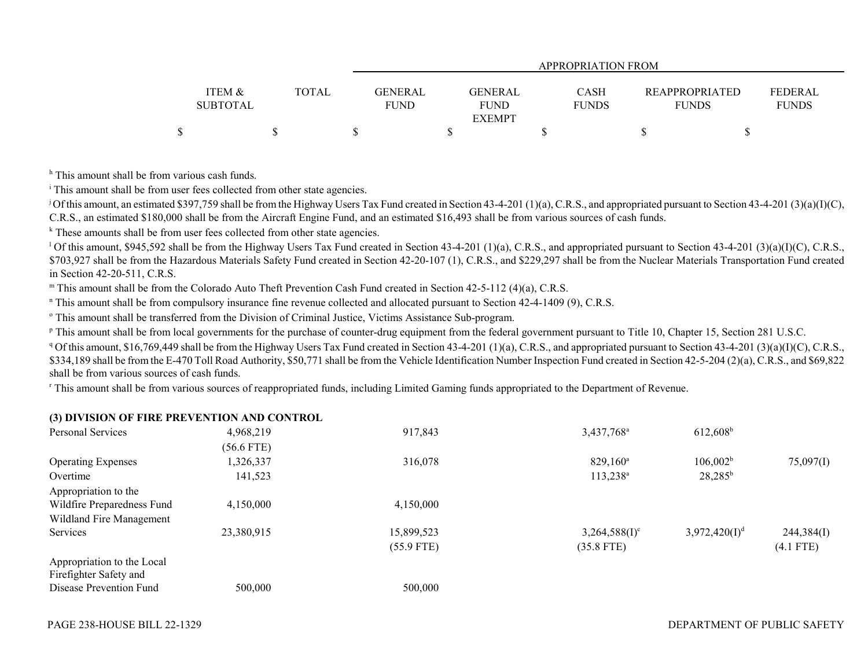|                 |              | APPROPRIATION FROM         |              |                       |                |  |  |  |  |  |  |
|-----------------|--------------|----------------------------|--------------|-----------------------|----------------|--|--|--|--|--|--|
|                 |              |                            |              |                       |                |  |  |  |  |  |  |
| ITEM &          | <b>TOTAL</b> | <b>GENERAL</b><br>GENERAL  | <b>CASH</b>  | <b>REAPPROPRIATED</b> | <b>FEDERAL</b> |  |  |  |  |  |  |
| <b>SUBTOTAL</b> |              | <b>FUND</b><br><b>FUND</b> | <b>FUNDS</b> | <b>FUNDS</b>          | <b>FUNDS</b>   |  |  |  |  |  |  |
|                 |              | <b>EXEMPT</b>              |              |                       |                |  |  |  |  |  |  |
|                 |              |                            |              |                       |                |  |  |  |  |  |  |

<sup>h</sup> This amount shall be from various cash funds.

<sup>i</sup> This amount shall be from user fees collected from other state agencies.

<sup>j</sup> Of this amount, an estimated \$397,759 shall be from the Highway Users Tax Fund created in Section 43-4-201 (1)(a), C.R.S., and appropriated pursuant to Section 43-4-201 (3)(a)(I)(C), C.R.S., an estimated \$180,000 shall be from the Aircraft Engine Fund, and an estimated \$16,493 shall be from various sources of cash funds.

 $k$  These amounts shall be from user fees collected from other state agencies.

<sup>1</sup> Of this amount. \$945,592 shall be from the Highway Users Tax Fund created in Section 43-4-201 (1)(a), C.R.S., and appropriated pursuant to Section 43-4-201 (3)(a)(I)(C), C.R.S., \$703,927 shall be from the Hazardous Materials Safety Fund created in Section 42-20-107 (1), C.R.S., and \$229,297 shall be from the Nuclear Materials Transportation Fund created in Section 42-20-511, C.R.S.

m This amount shall be from the Colorado Auto Theft Prevention Cash Fund created in Section 42-5-112 (4)(a), C.R.S.

n This amount shall be from compulsory insurance fine revenue collected and allocated pursuant to Section 42-4-1409 (9), C.R.S.

o This amount shall be transferred from the Division of Criminal Justice, Victims Assistance Sub-program.

<sup>p</sup> This amount shall be from local governments for the purchase of counter-drug equipment from the federal government pursuant to Title 10, Chapter 15, Section 281 U.S.C.

<sup>q</sup> Of this amount, \$16,769,449 shall be from the Highway Users Tax Fund created in Section 43-4-201 (1)(a), C.R.S., and appropriated pursuant to Section 43-4-201 (3)(a)(I)(C), C.R.S., \$334,189 shall be from the E-470 Toll Road Authority, \$50,771 shall be from the Vehicle Identification Number Inspection Fund created in Section 42-5-204 (2)(a), C.R.S., and \$69,822 shall be from various sources of cash funds.

r This amount shall be from various sources of reappropriated funds, including Limited Gaming funds appropriated to the Department of Revenue.

### **(3) DIVISION OF FIRE PREVENTION AND CONTROL**

| Personal Services          | 4,968,219  | 917,843      | 3,437,768 <sup>a</sup>      | $612,608$ <sup>b</sup> |             |
|----------------------------|------------|--------------|-----------------------------|------------------------|-------------|
|                            | (56.6 FTE) |              |                             |                        |             |
| <b>Operating Expenses</b>  | 1,326,337  | 316,078      | $829,160^{\circ}$           | 106,002 <sup>b</sup>   | 75,097(I)   |
| Overtime                   | 141,523    |              | $113,238^{\rm a}$           | $28,285^b$             |             |
| Appropriation to the       |            |              |                             |                        |             |
| Wildfire Preparedness Fund | 4,150,000  | 4,150,000    |                             |                        |             |
| Wildland Fire Management   |            |              |                             |                        |             |
| Services                   | 23,380,915 | 15,899,523   | $3,264,588(1)$ <sup>c</sup> | $3,972,420(I)^d$       | 244,384(I)  |
|                            |            | $(55.9$ FTE) | $(35.8$ FTE)                |                        | $(4.1$ FTE) |
| Appropriation to the Local |            |              |                             |                        |             |
| Firefighter Safety and     |            |              |                             |                        |             |
| Disease Prevention Fund    | 500,000    | 500,000      |                             |                        |             |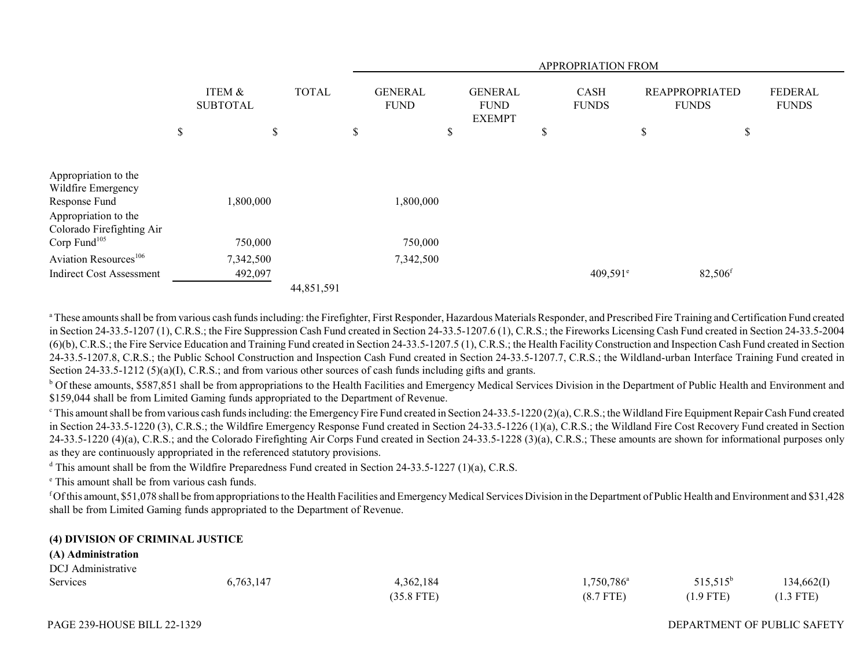|                                                                               |                                      |              |            | APPROPRIATION FROM            |           |    |                               |                               |                        |      |                                       |                                |
|-------------------------------------------------------------------------------|--------------------------------------|--------------|------------|-------------------------------|-----------|----|-------------------------------|-------------------------------|------------------------|------|---------------------------------------|--------------------------------|
|                                                                               | <b>ITEM &amp;</b><br><b>SUBTOTAL</b> | <b>TOTAL</b> |            | <b>GENERAL</b><br><b>FUND</b> |           |    | <b>GENERAL</b><br><b>FUND</b> | <b>FUNDS</b><br><b>EXEMPT</b> |                        |      | <b>REAPPROPRIATED</b><br><b>FUNDS</b> | <b>FEDERAL</b><br><b>FUNDS</b> |
|                                                                               | \$                                   | \$           |            | \$                            |           | \$ |                               | \$                            |                        | $\$$ | \$                                    |                                |
| Appropriation to the<br>Wildfire Emergency<br>Response Fund                   | ,800,000                             |              |            |                               | 1,800,000 |    |                               |                               |                        |      |                                       |                                |
| Appropriation to the<br>Colorado Firefighting Air<br>Corp Fund <sup>105</sup> | 750,000                              |              |            |                               | 750,000   |    |                               |                               |                        |      |                                       |                                |
| Aviation Resources <sup>106</sup>                                             | 7,342,500                            |              |            |                               | 7,342,500 |    |                               |                               |                        |      |                                       |                                |
| <b>Indirect Cost Assessment</b>                                               | 492,097                              |              |            |                               |           |    |                               |                               | $409,591$ <sup>e</sup> |      | $82,506$ <sup>f</sup>                 |                                |
|                                                                               |                                      |              | 44,851,591 |                               |           |    |                               |                               |                        |      |                                       |                                |

<sup>a</sup> These amounts shall be from various cash funds including: the Firefighter, First Responder, Hazardous Materials Responder, and Prescribed Fire Training and Certification Fund created in Section 24-33.5-1207 (1), C.R.S.; the Fire Suppression Cash Fund created in Section 24-33.5-1207.6 (1), C.R.S.; the Fireworks Licensing Cash Fund created in Section 24-33.5-2004 (6)(b), C.R.S.; the Fire Service Education and Training Fund created in Section 24-33.5-1207.5 (1), C.R.S.; the Health Facility Construction and Inspection Cash Fund created in Section 24-33.5-1207.8, C.R.S.; the Public School Construction and Inspection Cash Fund created in Section 24-33.5-1207.7, C.R.S.; the Wildland-urban Interface Training Fund created in Section 24-33.5-1212 (5)(a)(I), C.R.S.; and from various other sources of cash funds including gifts and grants.

<sup>b</sup> Of these amounts, \$587,851 shall be from appropriations to the Health Facilities and Emergency Medical Services Division in the Department of Public Health and Environment and \$159,044 shall be from Limited Gaming funds appropriated to the Department of Revenue.

 $\epsilon$  This amount shall be from various cash funds including: the Emergency Fire Fund created in Section 24-33.5-1220 (2)(a), C.R.S.; the Wildland Fire Equipment Repair Cash Fund created in Section 24-33.5-1220 (3), C.R.S.; the Wildfire Emergency Response Fund created in Section 24-33.5-1226 (1)(a), C.R.S.; the Wildland Fire Cost Recovery Fund created in Section 24-33.5-1220 (4)(a), C.R.S.; and the Colorado Firefighting Air Corps Fund created in Section 24-33.5-1228 (3)(a), C.R.S.; These amounts are shown for informational purposes only as they are continuously appropriated in the referenced statutory provisions.

<sup>d</sup> This amount shall be from the Wildfire Preparedness Fund created in Section 24-33.5-1227 (1)(a), C.R.S.

e This amount shall be from various cash funds.

f Of this amount, \$51,078 shall be from appropriations to the Health Facilities and Emergency Medical Services Division in the Department of Public Health and Environment and \$31,428 shall be from Limited Gaming funds appropriated to the Department of Revenue.

### **(4) DIVISION OF CRIMINAL JUSTICE**

#### **(A) Administration**

| DCJ Administrative |           |              |                     |             |             |
|--------------------|-----------|--------------|---------------------|-------------|-------------|
| Services           | 6,763,147 | 4,362,184    | $1,750,786^{\circ}$ | $515,515^b$ | 134,662(I)  |
|                    |           | $(35.8$ FTE) | $(8.7$ FTE)         | $(1.9$ FTE) | $(1.3$ FTE) |

### DEPARTMENT OF PUBLIC SAFETY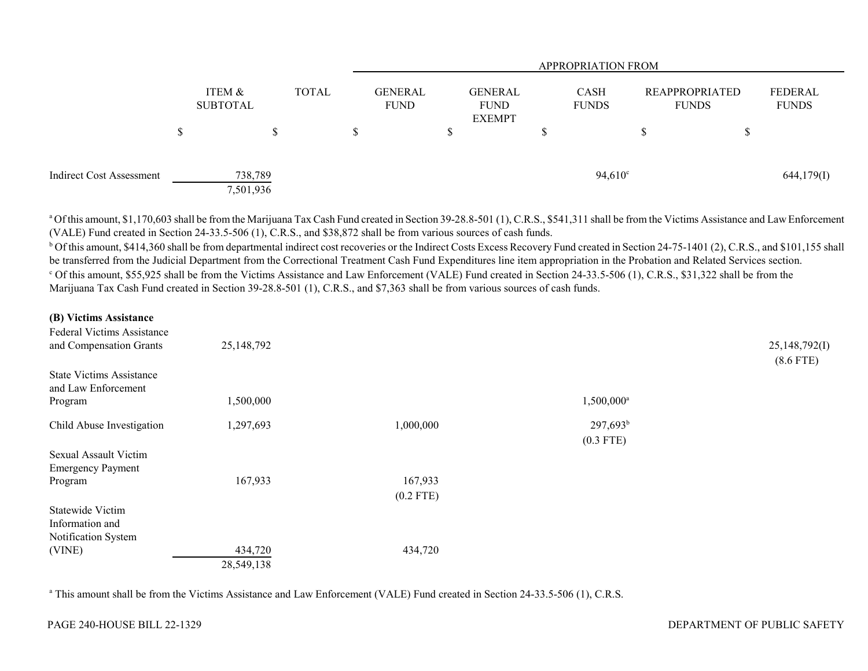|                                 |                      |              |  |                               |  |                                                |  | <b>APPROPRIATION FROM</b>   |                                       |   |                         |
|---------------------------------|----------------------|--------------|--|-------------------------------|--|------------------------------------------------|--|-----------------------------|---------------------------------------|---|-------------------------|
|                                 | ITEM &<br>SUBTOTAL   | <b>TOTAL</b> |  | <b>GENERAL</b><br><b>FUND</b> |  | <b>GENERAL</b><br><b>FUND</b><br><b>EXEMPT</b> |  | <b>CASH</b><br><b>FUNDS</b> | <b>REAPPROPRIATED</b><br><b>FUNDS</b> |   | FEDERAL<br><b>FUNDS</b> |
|                                 |                      | S            |  |                               |  |                                                |  |                             | S                                     | Φ |                         |
| <b>Indirect Cost Assessment</b> | 738,789<br>7,501,936 |              |  |                               |  |                                                |  | $94,610^{\circ}$            |                                       |   | 644,179(I)              |

<sup>a</sup> Of this amount, \$1,170,603 shall be from the Marijuana Tax Cash Fund created in Section 39-28.8-501 (1), C.R.S., \$541,311 shall be from the Victims Assistance and Law Enforcement (VALE) Fund created in Section 24-33.5-506 (1), C.R.S., and \$38,872 shall be from various sources of cash funds.

<sup>b</sup> Of this amount, \$414,360 shall be from departmental indirect cost recoveries or the Indirect Costs Excess Recovery Fund created in Section 24-75-1401 (2), C.R.S., and \$101,155 shall be transferred from the Judicial Department from the Correctional Treatment Cash Fund Expenditures line item appropriation in the Probation and Related Services section. c Of this amount, \$55,925 shall be from the Victims Assistance and Law Enforcement (VALE) Fund created in Section 24-33.5-506 (1), C.R.S., \$31,322 shall be from the Marijuana Tax Cash Fund created in Section 39-28.8-501 (1), C.R.S., and \$7,363 shall be from various sources of cash funds.

#### **(B) Victims Assistance**

| Federal Victims Assistance<br>and Compensation Grants  | 25,148,792 |             |               | 25,148,792(I)<br>$(8.6$ FTE) |
|--------------------------------------------------------|------------|-------------|---------------|------------------------------|
| <b>State Victims Assistance</b><br>and Law Enforcement |            |             |               |                              |
| Program                                                | 1,500,000  |             | $1,500,000^a$ |                              |
| Child Abuse Investigation                              | 1,297,693  | 1,000,000   | $297,693^b$   |                              |
|                                                        |            |             | $(0.3$ FTE)   |                              |
| Sexual Assault Victim<br><b>Emergency Payment</b>      |            |             |               |                              |
| Program                                                | 167,933    | 167,933     |               |                              |
|                                                        |            | $(0.2$ FTE) |               |                              |
| <b>Statewide Victim</b>                                |            |             |               |                              |
| Information and                                        |            |             |               |                              |
| Notification System                                    |            |             |               |                              |
| (VINE)                                                 | 434,720    | 434,720     |               |                              |
|                                                        | 28,549,138 |             |               |                              |

a This amount shall be from the Victims Assistance and Law Enforcement (VALE) Fund created in Section 24-33.5-506 (1), C.R.S.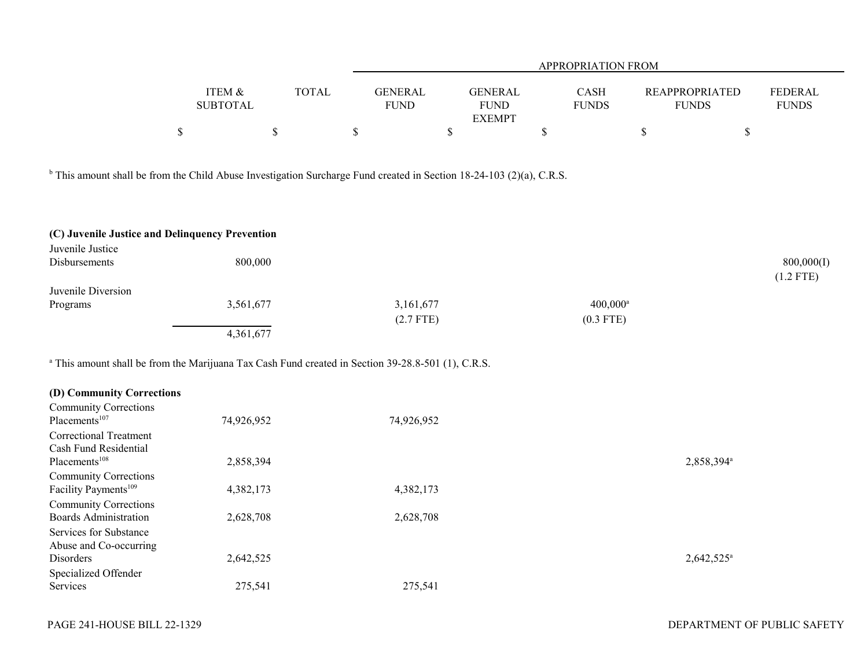|                 |              | <b>APPROPRIATION FROM</b> |               |              |                       |                |  |  |  |  |  |
|-----------------|--------------|---------------------------|---------------|--------------|-----------------------|----------------|--|--|--|--|--|
|                 |              |                           |               |              |                       |                |  |  |  |  |  |
| ITEM &          | <b>TOTAL</b> | <b>GENERAL</b>            | GENERAL       | <b>CASH</b>  | <b>REAPPROPRIATED</b> | <b>FEDERAL</b> |  |  |  |  |  |
| <b>SUBTOTAL</b> |              | <b>FUND</b>               | <b>FUND</b>   | <b>FUNDS</b> | <b>FUNDS</b>          | <b>FUNDS</b>   |  |  |  |  |  |
|                 |              |                           | <b>EXEMPT</b> |              |                       |                |  |  |  |  |  |
|                 |              |                           |               |              |                       |                |  |  |  |  |  |

<sup>b</sup> This amount shall be from the Child Abuse Investigation Surcharge Fund created in Section 18-24-103 (2)(a), C.R.S.

| (C) Juvenile Justice and Delinquency Prevention |           |             |                   |             |
|-------------------------------------------------|-----------|-------------|-------------------|-------------|
| Juvenile Justice                                |           |             |                   |             |
| <b>Disbursements</b>                            | 800,000   |             |                   | 800,000(I)  |
|                                                 |           |             |                   | $(1.2$ FTE) |
| Juvenile Diversion                              |           |             |                   |             |
| Programs                                        | 3,561,677 | 3,161,677   | $400,000^{\rm a}$ |             |
|                                                 |           | $(2.7$ FTE) | $(0.3$ FTE)       |             |
|                                                 | 4,361,677 |             |                   |             |

<sup>a</sup> This amount shall be from the Marijuana Tax Cash Fund created in Section 39-28.8-501 (1), C.R.S.

| (D) Community Corrections        |            |            |                        |
|----------------------------------|------------|------------|------------------------|
| <b>Community Corrections</b>     |            |            |                        |
| Placements <sup>107</sup>        | 74,926,952 | 74,926,952 |                        |
| Correctional Treatment           |            |            |                        |
| Cash Fund Residential            |            |            |                        |
| Placements <sup>108</sup>        | 2,858,394  |            | 2,858,394 <sup>a</sup> |
| <b>Community Corrections</b>     |            |            |                        |
| Facility Payments <sup>109</sup> | 4,382,173  | 4,382,173  |                        |
| <b>Community Corrections</b>     |            |            |                        |
| <b>Boards Administration</b>     | 2,628,708  | 2,628,708  |                        |
| Services for Substance           |            |            |                        |
| Abuse and Co-occurring           |            |            |                        |
| Disorders                        | 2,642,525  |            | $2,642,525^{\circ}$    |
| Specialized Offender             |            |            |                        |
| Services                         | 275,541    | 275,541    |                        |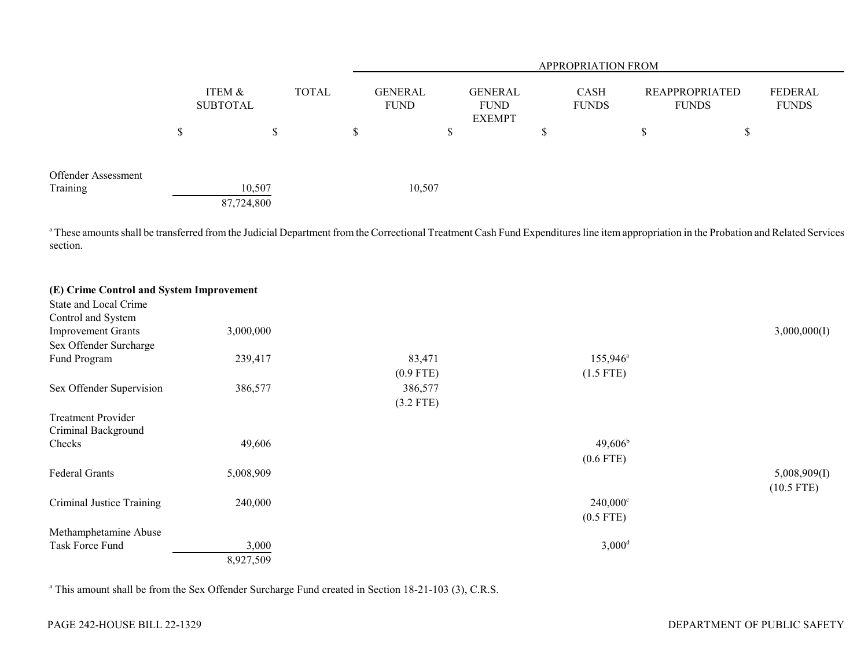|                                 |                      |       |   | APPROPRIATION FROM            |                                                |     |                             |                                       |    |                         |
|---------------------------------|----------------------|-------|---|-------------------------------|------------------------------------------------|-----|-----------------------------|---------------------------------------|----|-------------------------|
|                                 | ITEM &<br>SUBTOTAL   | TOTAL |   | <b>GENERAL</b><br><b>FUND</b> | <b>GENERAL</b><br><b>FUND</b><br><b>EXEMPT</b> |     | <b>CASH</b><br><b>FUNDS</b> | <b>REAPPROPRIATED</b><br><b>FUNDS</b> |    | FEDERAL<br><b>FUNDS</b> |
|                                 | \$<br>\$             |       | S | Φ                             |                                                | J.D |                             | D                                     | J. |                         |
| Offender Assessment<br>Training | 10,507<br>87,724,800 |       |   | 10,507                        |                                                |     |                             |                                       |    |                         |

<sup>a</sup> These amounts shall be transferred from the Judicial Department from the Correctional Treatment Cash Fund Expenditures line item appropriation in the Probation and Related Services section.

| (E) Crime Control and System Improvement |           |             |                      |              |
|------------------------------------------|-----------|-------------|----------------------|--------------|
| State and Local Crime                    |           |             |                      |              |
| Control and System                       |           |             |                      |              |
| <b>Improvement Grants</b>                | 3,000,000 |             |                      | 3,000,000(I) |
| Sex Offender Surcharge                   |           |             |                      |              |
| Fund Program                             | 239,417   | 83,471      | $155,946^{\circ}$    |              |
|                                          |           | $(0.9$ FTE) | $(1.5$ FTE)          |              |
| Sex Offender Supervision                 | 386,577   | 386,577     |                      |              |
|                                          |           | $(3.2$ FTE) |                      |              |
| <b>Treatment Provider</b>                |           |             |                      |              |
| Criminal Background                      |           |             |                      |              |
| Checks                                   | 49,606    |             | $49,606^{\rm b}$     |              |
|                                          |           |             | $(0.6$ FTE)          |              |
| Federal Grants                           | 5,008,909 |             |                      | 5,008,909(1) |
|                                          |           |             |                      | $(10.5$ FTE) |
| Criminal Justice Training                | 240,000   |             | $240,000^{\circ}$    |              |
|                                          |           |             | $(0.5$ FTE)          |              |
| Methamphetamine Abuse                    |           |             |                      |              |
| Task Force Fund                          | 3,000     |             | $3,000$ <sup>d</sup> |              |
|                                          | 8,927,509 |             |                      |              |

<sup>a</sup> This amount shall be from the Sex Offender Surcharge Fund created in Section 18-21-103 (3), C.R.S.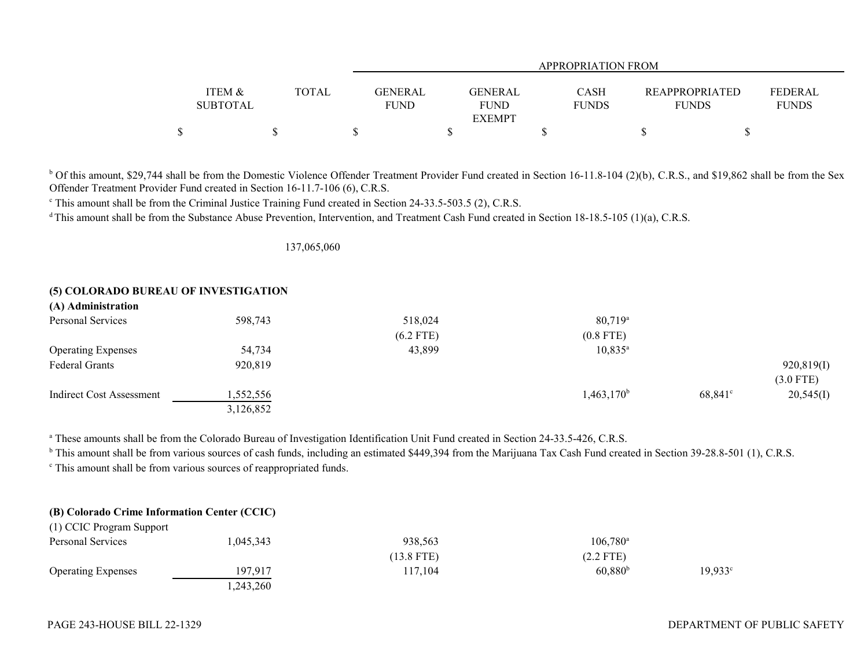|                   |              |                | APPROPRIATION FROM           |                             |                                       |                |  |  |
|-------------------|--------------|----------------|------------------------------|-----------------------------|---------------------------------------|----------------|--|--|
|                   |              |                |                              |                             |                                       |                |  |  |
| <b>ITEM &amp;</b> | <b>TOTAL</b> | <b>GENERAL</b> | <b>GENERAL</b>               | <b>CASH</b><br><b>FUNDS</b> | <b>REAPPROPRIATED</b><br><b>FUNDS</b> | <b>FEDERAL</b> |  |  |
| <b>SUBTOTAL</b>   |              | <b>FUND</b>    | <b>FUND</b><br><b>EXEMPT</b> |                             |                                       | <b>FUNDS</b>   |  |  |
|                   |              |                |                              |                             |                                       |                |  |  |

<sup>b</sup> Of this amount, \$29,744 shall be from the Domestic Violence Offender Treatment Provider Fund created in Section 16-11.8-104 (2)(b), C.R.S., and \$19,862 shall be from the Sex Offender Treatment Provider Fund created in Section 16-11.7-106 (6), C.R.S.

<sup>c</sup> This amount shall be from the Criminal Justice Training Fund created in Section 24-33.5-503.5 (2), C.R.S.

<sup>d</sup> This amount shall be from the Substance Abuse Prevention, Intervention, and Treatment Cash Fund created in Section 18-18.5-105 (1)(a), C.R.S.

137,065,060

## **(5) COLORADO BUREAU OF INVESTIGATION**

| (A) Administration        |           |             |                  |                  |             |
|---------------------------|-----------|-------------|------------------|------------------|-------------|
| Personal Services         | 598,743   | 518,024     | $80,719^{\circ}$ |                  |             |
|                           |           | $(6.2$ FTE) | $(0.8$ FTE)      |                  |             |
| <b>Operating Expenses</b> | 54,734    | 43,899      | $10,835^{\circ}$ |                  |             |
| Federal Grants            | 920,819   |             |                  |                  | 920,819(I)  |
|                           |           |             |                  |                  | $(3.0$ FTE) |
| Indirect Cost Assessment  | 1,552,556 |             | $1,463,170^b$    | $68,841^{\circ}$ | 20,545(I)   |
|                           | 3,126,852 |             |                  |                  |             |

a These amounts shall be from the Colorado Bureau of Investigation Identification Unit Fund created in Section 24-33.5-426, C.R.S.

<sup>b</sup> This amount shall be from various sources of cash funds, including an estimated \$449,394 from the Marijuana Tax Cash Fund created in Section 39-28.8-501 (1), C.R.S.

c This amount shall be from various sources of reappropriated funds.

# **(B) Colorado Crime Information Center (CCIC)**

| $(1)$ core in equal support |           |            |                   |                  |
|-----------------------------|-----------|------------|-------------------|------------------|
| Personal Services           | 1,045,343 | 938,563    | $106.780^{\rm a}$ |                  |
|                             |           | (13.8 FTE) | $(2.2$ FTE)       |                  |
| <b>Operating Expenses</b>   | 197,917   | 117,104    | $60,880^{\circ}$  | $19,933^{\circ}$ |
|                             | .243,260  |            |                   |                  |

(1) CCIC Program Support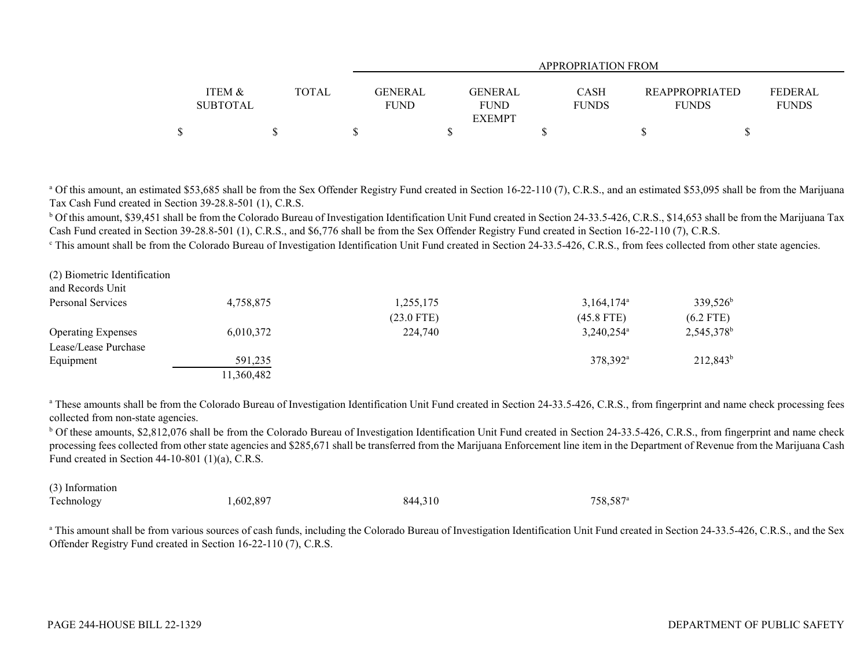|                   |              |                | APPROPRIATION FROM |              |                       |                |  |  |
|-------------------|--------------|----------------|--------------------|--------------|-----------------------|----------------|--|--|
|                   |              |                |                    |              |                       |                |  |  |
| <b>ITEM &amp;</b> | <b>TOTAL</b> | <b>GENERAL</b> | <b>GENERAL</b>     | CASH         | <b>REAPPROPRIATED</b> | <b>FEDERAL</b> |  |  |
| <b>SUBTOTAL</b>   |              | <b>FUND</b>    | <b>FUND</b>        | <b>FUNDS</b> | <b>FUNDS</b>          | <b>FUNDS</b>   |  |  |
|                   |              |                | <b>EXEMPT</b>      |              |                       |                |  |  |
|                   |              |                |                    |              |                       |                |  |  |

<sup>a</sup> Of this amount, an estimated \$53,685 shall be from the Sex Offender Registry Fund created in Section 16-22-110 (7), C.R.S., and an estimated \$53,095 shall be from the Marijuana Tax Cash Fund created in Section 39-28.8-501 (1), C.R.S.

<sup>b</sup> Of this amount, \$39,451 shall be from the Colorado Bureau of Investigation Identification Unit Fund created in Section 24-33.5-426, C.R.S., \$14,653 shall be from the Marijuana Tax Cash Fund created in Section 39-28.8-501 (1), C.R.S., and \$6,776 shall be from the Sex Offender Registry Fund created in Section 16-22-110 (7), C.R.S.

<sup>c</sup> This amount shall be from the Colorado Bureau of Investigation Identification Unit Fund created in Section 24-33.5-426, C.R.S., from fees collected from other state agencies.

| (2) Biometric Identification |            |              |                          |                        |
|------------------------------|------------|--------------|--------------------------|------------------------|
| and Records Unit             |            |              |                          |                        |
| Personal Services            | 4,758,875  | 1,255,175    | $3,164,174$ <sup>a</sup> | 339,526 <sup>b</sup>   |
|                              |            | $(23.0$ FTE) | $(45.8$ FTE)             | $(6.2$ FTE)            |
| <b>Operating Expenses</b>    | 6,010,372  | 224,740      | $3,240,254^{\circ}$      | 2,545,378 <sup>b</sup> |
| Lease/Lease Purchase         |            |              |                          |                        |
| Equipment                    | 591,235    |              | 378.392 <sup>a</sup>     | $212,843^b$            |
|                              | 11,360,482 |              |                          |                        |

<sup>a</sup> These amounts shall be from the Colorado Bureau of Investigation Identification Unit Fund created in Section 24-33.5-426, C.R.S., from fingerprint and name check processing fees collected from non-state agencies.

b Of these amounts, \$2,812,076 shall be from the Colorado Bureau of Investigation Identification Unit Fund created in Section 24-33.5-426, C.R.S., from fingerprint and name check processing fees collected from other state agencies and \$285,671 shall be transferred from the Marijuana Enforcement line item in the Department of Revenue from the Marijuana Cash Fund created in Section 44-10-801 (1)(a), C.R.S.

| (3) Information |           |         |                      |
|-----------------|-----------|---------|----------------------|
| Technology      | 1,602,897 | 844,310 | 758,587 <sup>a</sup> |

<sup>a</sup> This amount shall be from various sources of cash funds, including the Colorado Bureau of Investigation Identification Unit Fund created in Section 24-33.5-426, C.R.S., and the Sex Offender Registry Fund created in Section 16-22-110 (7), C.R.S.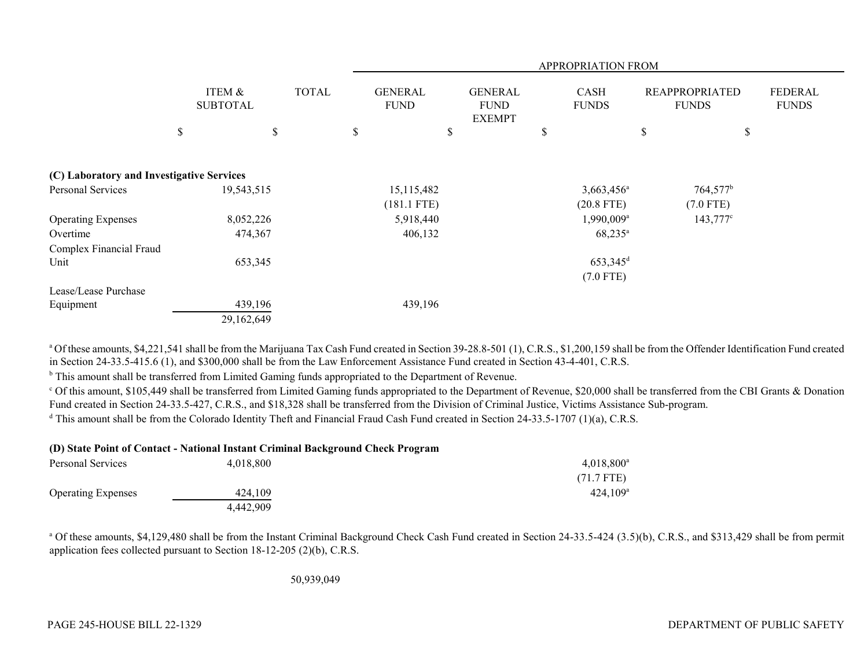|                                           |                           |              | <b>APPROPRIATION FROM</b>     |                                                |    |                             |    |                                       |                                |
|-------------------------------------------|---------------------------|--------------|-------------------------------|------------------------------------------------|----|-----------------------------|----|---------------------------------------|--------------------------------|
|                                           | ITEM &<br><b>SUBTOTAL</b> | <b>TOTAL</b> | <b>GENERAL</b><br><b>FUND</b> | <b>GENERAL</b><br><b>FUND</b><br><b>EXEMPT</b> |    | <b>CASH</b><br><b>FUNDS</b> |    | <b>REAPPROPRIATED</b><br><b>FUNDS</b> | <b>FEDERAL</b><br><b>FUNDS</b> |
|                                           | \$<br>\$                  |              | \$                            | \$                                             | \$ |                             | \$ | \$                                    |                                |
| (C) Laboratory and Investigative Services |                           |              |                               |                                                |    |                             |    |                                       |                                |
| Personal Services                         | 19,543,515                |              | 15,115,482                    |                                                |    | 3,663,456 <sup>a</sup>      |    | $764,577$ <sup>b</sup>                |                                |
|                                           |                           |              | $(181.1$ FTE)                 |                                                |    | $(20.8$ FTE)                |    | $(7.0$ FTE)                           |                                |
| <b>Operating Expenses</b>                 | 8,052,226                 |              | 5,918,440                     |                                                |    | $1,990,009$ <sup>a</sup>    |    | $143,777^{\circ}$                     |                                |
| Overtime                                  | 474,367                   |              | 406,132                       |                                                |    | $68,235^{\circ}$            |    |                                       |                                |
| Complex Financial Fraud                   |                           |              |                               |                                                |    |                             |    |                                       |                                |
| Unit                                      | 653,345                   |              |                               |                                                |    | $653,345$ <sup>d</sup>      |    |                                       |                                |
|                                           |                           |              |                               |                                                |    | $(7.0$ FTE)                 |    |                                       |                                |
| Lease/Lease Purchase                      |                           |              |                               |                                                |    |                             |    |                                       |                                |
| Equipment                                 | 439,196                   |              | 439,196                       |                                                |    |                             |    |                                       |                                |
|                                           | 29,162,649                |              |                               |                                                |    |                             |    |                                       |                                |

<sup>a</sup> Of these amounts, \$4,221,541 shall be from the Marijuana Tax Cash Fund created in Section 39-28.8-501 (1), C.R.S., \$1,200,159 shall be from the Offender Identification Fund created in Section 24-33.5-415.6 (1), and \$300,000 shall be from the Law Enforcement Assistance Fund created in Section 43-4-401, C.R.S.

**b** This amount shall be transferred from Limited Gaming funds appropriated to the Department of Revenue.

<sup>c</sup> Of this amount, \$105,449 shall be transferred from Limited Gaming funds appropriated to the Department of Revenue, \$20,000 shall be transferred from the CBI Grants & Donation Fund created in Section 24-33.5-427, C.R.S., and \$18,328 shall be transferred from the Division of Criminal Justice, Victims Assistance Sub-program.

<sup>d</sup> This amount shall be from the Colorado Identity Theft and Financial Fraud Cash Fund created in Section 24-33.5-1707 (1)(a), C.R.S.

| (D) State Point of Contact - National Instant Criminal Background Check Program |           |                        |  |  |
|---------------------------------------------------------------------------------|-----------|------------------------|--|--|
| Personal Services                                                               | 4.018.800 | $4,018,800^{\circ}$    |  |  |
|                                                                                 |           | $(71.7$ FTE)           |  |  |
| <b>Operating Expenses</b>                                                       | 424,109   | $424.109$ <sup>a</sup> |  |  |
|                                                                                 | 4.442.909 |                        |  |  |

<sup>a</sup> Of these amounts, \$4,129,480 shall be from the Instant Criminal Background Check Cash Fund created in Section 24-33.5-424 (3.5)(b), C.R.S., and \$313,429 shall be from permit application fees collected pursuant to Section 18-12-205 (2)(b), C.R.S.

50,939,049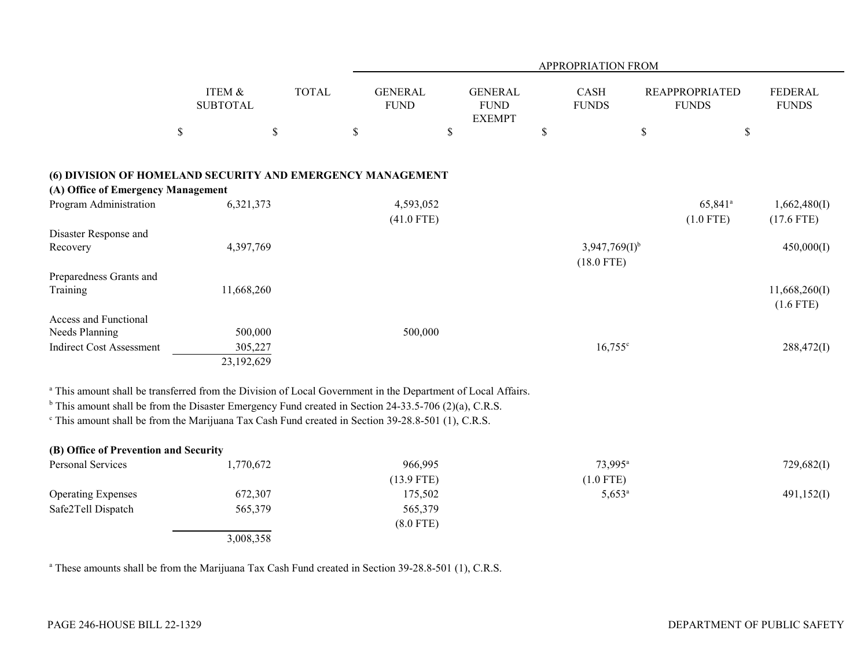| <b>ITEM &amp;</b><br><b>TOTAL</b><br><b>GENERAL</b><br><b>GENERAL</b><br><b>CASH</b><br><b>FEDERAL</b><br><b>REAPPROPRIATED</b><br><b>FUNDS</b><br><b>SUBTOTAL</b><br><b>FUND</b><br><b>FUND</b><br><b>FUNDS</b><br><b>FUNDS</b><br><b>EXEMPT</b><br>$\mathbb{S}$<br>$\mathbb S$<br>$\$$<br>\$<br>\$<br>\$<br>\$<br>(6) DIVISION OF HOMELAND SECURITY AND EMERGENCY MANAGEMENT<br>(A) Office of Emergency Management<br>Program Administration<br>6,321,373<br>4,593,052<br>65,841 <sup>a</sup><br>1,662,480(I)<br>$(1.0$ FTE)<br>$(41.0$ FTE)<br>$(17.6$ FTE)<br>Disaster Response and<br>4,397,769<br>$3,947,769(1)^{b}$<br>450,000(I)<br>Recovery<br>$(18.0$ FTE)<br>Preparedness Grants and<br>Training<br>11,668,260<br>11,668,260(I)<br>$(1.6$ FTE)<br><b>Access and Functional</b><br>Needs Planning<br>500,000<br>500,000<br><b>Indirect Cost Assessment</b><br>305,227<br>$16,755^{\circ}$<br>288,472(I)<br>23,192,629<br>a This amount shall be transferred from the Division of Local Government in the Department of Local Affairs.<br>$b$ This amount shall be from the Disaster Emergency Fund created in Section 24-33.5-706 (2)(a), C.R.S.<br><sup>c</sup> This amount shall be from the Marijuana Tax Cash Fund created in Section 39-28.8-501 (1), C.R.S.<br>(B) Office of Prevention and Security<br>Personal Services<br>1,770,672<br>966,995<br>73,995 <sup>a</sup><br>729,682(I)<br>$(13.9$ FTE)<br>$(1.0$ FTE)<br><b>Operating Expenses</b><br>672,307<br>175,502<br>$5,653^a$<br>491,152(I)<br>Safe2Tell Dispatch<br>565,379<br>565,379<br>$(8.0$ FTE)<br>3,008,358 |  | APPROPRIATION FROM |  |  |  |  |  |  |  |
|---------------------------------------------------------------------------------------------------------------------------------------------------------------------------------------------------------------------------------------------------------------------------------------------------------------------------------------------------------------------------------------------------------------------------------------------------------------------------------------------------------------------------------------------------------------------------------------------------------------------------------------------------------------------------------------------------------------------------------------------------------------------------------------------------------------------------------------------------------------------------------------------------------------------------------------------------------------------------------------------------------------------------------------------------------------------------------------------------------------------------------------------------------------------------------------------------------------------------------------------------------------------------------------------------------------------------------------------------------------------------------------------------------------------------------------------------------------------------------------------------------------------------------------------------------------------------------------------|--|--------------------|--|--|--|--|--|--|--|
|                                                                                                                                                                                                                                                                                                                                                                                                                                                                                                                                                                                                                                                                                                                                                                                                                                                                                                                                                                                                                                                                                                                                                                                                                                                                                                                                                                                                                                                                                                                                                                                             |  |                    |  |  |  |  |  |  |  |
|                                                                                                                                                                                                                                                                                                                                                                                                                                                                                                                                                                                                                                                                                                                                                                                                                                                                                                                                                                                                                                                                                                                                                                                                                                                                                                                                                                                                                                                                                                                                                                                             |  |                    |  |  |  |  |  |  |  |
|                                                                                                                                                                                                                                                                                                                                                                                                                                                                                                                                                                                                                                                                                                                                                                                                                                                                                                                                                                                                                                                                                                                                                                                                                                                                                                                                                                                                                                                                                                                                                                                             |  |                    |  |  |  |  |  |  |  |
|                                                                                                                                                                                                                                                                                                                                                                                                                                                                                                                                                                                                                                                                                                                                                                                                                                                                                                                                                                                                                                                                                                                                                                                                                                                                                                                                                                                                                                                                                                                                                                                             |  |                    |  |  |  |  |  |  |  |
|                                                                                                                                                                                                                                                                                                                                                                                                                                                                                                                                                                                                                                                                                                                                                                                                                                                                                                                                                                                                                                                                                                                                                                                                                                                                                                                                                                                                                                                                                                                                                                                             |  |                    |  |  |  |  |  |  |  |
|                                                                                                                                                                                                                                                                                                                                                                                                                                                                                                                                                                                                                                                                                                                                                                                                                                                                                                                                                                                                                                                                                                                                                                                                                                                                                                                                                                                                                                                                                                                                                                                             |  |                    |  |  |  |  |  |  |  |
|                                                                                                                                                                                                                                                                                                                                                                                                                                                                                                                                                                                                                                                                                                                                                                                                                                                                                                                                                                                                                                                                                                                                                                                                                                                                                                                                                                                                                                                                                                                                                                                             |  |                    |  |  |  |  |  |  |  |
|                                                                                                                                                                                                                                                                                                                                                                                                                                                                                                                                                                                                                                                                                                                                                                                                                                                                                                                                                                                                                                                                                                                                                                                                                                                                                                                                                                                                                                                                                                                                                                                             |  |                    |  |  |  |  |  |  |  |
|                                                                                                                                                                                                                                                                                                                                                                                                                                                                                                                                                                                                                                                                                                                                                                                                                                                                                                                                                                                                                                                                                                                                                                                                                                                                                                                                                                                                                                                                                                                                                                                             |  |                    |  |  |  |  |  |  |  |
|                                                                                                                                                                                                                                                                                                                                                                                                                                                                                                                                                                                                                                                                                                                                                                                                                                                                                                                                                                                                                                                                                                                                                                                                                                                                                                                                                                                                                                                                                                                                                                                             |  |                    |  |  |  |  |  |  |  |
|                                                                                                                                                                                                                                                                                                                                                                                                                                                                                                                                                                                                                                                                                                                                                                                                                                                                                                                                                                                                                                                                                                                                                                                                                                                                                                                                                                                                                                                                                                                                                                                             |  |                    |  |  |  |  |  |  |  |
|                                                                                                                                                                                                                                                                                                                                                                                                                                                                                                                                                                                                                                                                                                                                                                                                                                                                                                                                                                                                                                                                                                                                                                                                                                                                                                                                                                                                                                                                                                                                                                                             |  |                    |  |  |  |  |  |  |  |
|                                                                                                                                                                                                                                                                                                                                                                                                                                                                                                                                                                                                                                                                                                                                                                                                                                                                                                                                                                                                                                                                                                                                                                                                                                                                                                                                                                                                                                                                                                                                                                                             |  |                    |  |  |  |  |  |  |  |
|                                                                                                                                                                                                                                                                                                                                                                                                                                                                                                                                                                                                                                                                                                                                                                                                                                                                                                                                                                                                                                                                                                                                                                                                                                                                                                                                                                                                                                                                                                                                                                                             |  |                    |  |  |  |  |  |  |  |
|                                                                                                                                                                                                                                                                                                                                                                                                                                                                                                                                                                                                                                                                                                                                                                                                                                                                                                                                                                                                                                                                                                                                                                                                                                                                                                                                                                                                                                                                                                                                                                                             |  |                    |  |  |  |  |  |  |  |
|                                                                                                                                                                                                                                                                                                                                                                                                                                                                                                                                                                                                                                                                                                                                                                                                                                                                                                                                                                                                                                                                                                                                                                                                                                                                                                                                                                                                                                                                                                                                                                                             |  |                    |  |  |  |  |  |  |  |
|                                                                                                                                                                                                                                                                                                                                                                                                                                                                                                                                                                                                                                                                                                                                                                                                                                                                                                                                                                                                                                                                                                                                                                                                                                                                                                                                                                                                                                                                                                                                                                                             |  |                    |  |  |  |  |  |  |  |

<sup>a</sup> These amounts shall be from the Marijuana Tax Cash Fund created in Section 39-28.8-501 (1), C.R.S.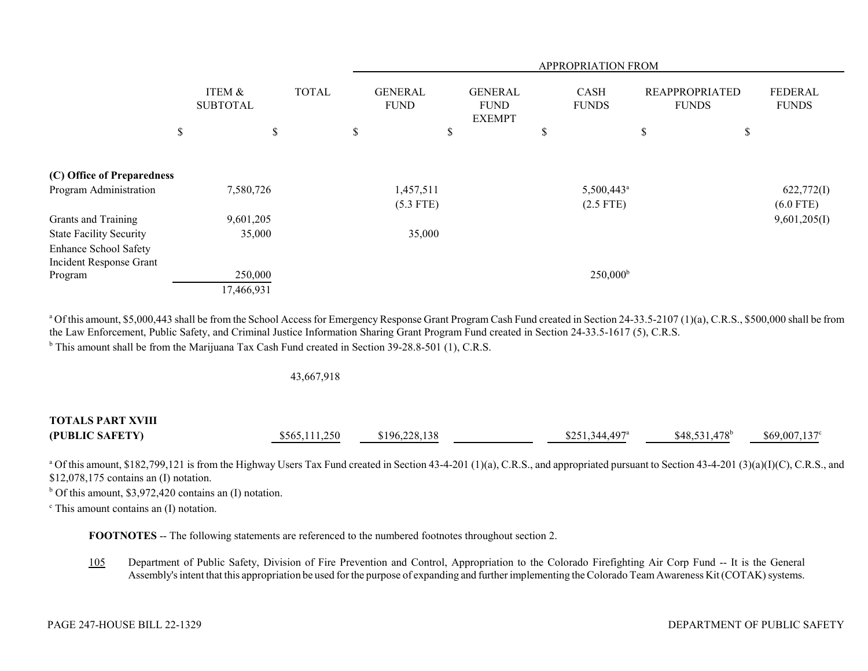|                                                  |                           |              |   | APPROPRIATION FROM            |    |                                                |    |                                       |    |                                       |                                |
|--------------------------------------------------|---------------------------|--------------|---|-------------------------------|----|------------------------------------------------|----|---------------------------------------|----|---------------------------------------|--------------------------------|
|                                                  | ITEM &<br><b>SUBTOTAL</b> | <b>TOTAL</b> |   | <b>GENERAL</b><br><b>FUND</b> |    | <b>GENERAL</b><br><b>FUND</b><br><b>EXEMPT</b> |    | CASH<br><b>FUNDS</b>                  |    | <b>REAPPROPRIATED</b><br><b>FUNDS</b> | <b>FEDERAL</b><br><b>FUNDS</b> |
|                                                  | \$<br>\$                  |              | D |                               | \$ |                                                | \$ |                                       | \$ | D                                     |                                |
| (C) Office of Preparedness                       |                           |              |   |                               |    |                                                |    |                                       |    |                                       |                                |
| Program Administration                           | 7,580,726                 |              |   | 1,457,511<br>$(5.3$ FTE)      |    |                                                |    | 5,500,443 <sup>a</sup><br>$(2.5$ FTE) |    |                                       | 622,772(I)<br>$(6.0$ FTE)      |
| Grants and Training                              | 9,601,205                 |              |   |                               |    |                                                |    |                                       |    |                                       | 9,601,205(I)                   |
| <b>State Facility Security</b>                   | 35,000                    |              |   | 35,000                        |    |                                                |    |                                       |    |                                       |                                |
| Enhance School Safety<br>Incident Response Grant |                           |              |   |                               |    |                                                |    |                                       |    |                                       |                                |
| Program                                          | 250,000                   |              |   |                               |    |                                                |    | $250,000^{\rm b}$                     |    |                                       |                                |
|                                                  | 17,466,931                |              |   |                               |    |                                                |    |                                       |    |                                       |                                |

<sup>a</sup> Of this amount, \$5,000,443 shall be from the School Access for Emergency Response Grant Program Cash Fund created in Section 24-33.5-2107 (1)(a), C.R.S., \$500,000 shall be from the Law Enforcement, Public Safety, and Criminal Justice Information Sharing Grant Program Fund created in Section 24-33.5-1617 (5), C.R.S. <sup>b</sup> This amount shall be from the Marijuana Tax Cash Fund created in Section 39-28.8-501 (1), C.R.S.

43,667,918

| <b>TOTALS PART XVIII</b> |               |               |                            |                 |                       |
|--------------------------|---------------|---------------|----------------------------|-----------------|-----------------------|
| (PUBLIC SAFETY)          | \$565,111,250 | \$196,228,138 | \$251,344,497 <sup>a</sup> | $$48,531,478^b$ | $$69,007,137^{\circ}$ |

<sup>a</sup> Of this amount, \$182,799,121 is from the Highway Users Tax Fund created in Section 43-4-201 (1)(a), C.R.S., and appropriated pursuant to Section 43-4-201 (3)(a)(I)(C), C.R.S., and \$12,078,175 contains an (I) notation.

 $<sup>b</sup>$  Of this amount, \$3,972,420 contains an (I) notation.</sup>

 $\textdegree$  This amount contains an (I) notation.

**FOOTNOTES** -- The following statements are referenced to the numbered footnotes throughout section 2.

105 Department of Public Safety, Division of Fire Prevention and Control, Appropriation to the Colorado Firefighting Air Corp Fund -- It is the General Assembly's intent that this appropriation be used for the purpose of expanding and further implementing the Colorado Team Awareness Kit (COTAK) systems.